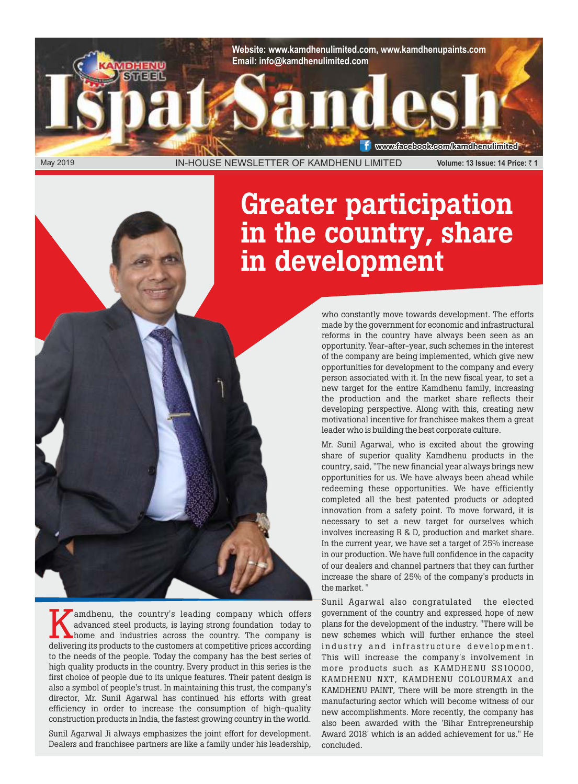**Website: www.kamdhenulimited.com, www.kamdhenupaints.com Email: info@kamdhenulimited.com**

May 2019 IN-HOUSE NEWSLETTER OF KAMDHENU LIMITED **Volume: 13 Issue: 14 Price:** ` **1** 

www.facebook.com/kamdhenulimited

# Greater participation in the country, share in development

who constantly move towards development. The efforts made by the government for economic and infrastructural reforms in the country have always been seen as an opportunity. Year-after-year, such schemes in the interest of the company are being implemented, which give new opportunities for development to the company and every person associated with it. In the new fiscal year, to set a new target for the entire Kamdhenu family, increasing the production and the market share reflects their developing perspective. Along with this, creating new motivational incentive for franchisee makes them a great leader who is building the best corporate culture.

Mr. Sunil Agarwal, who is excited about the growing share of superior quality Kamdhenu products in the country, said, "The new financial year always brings new opportunities for us. We have always been ahead while redeeming these opportunities. We have efficiently completed all the best patented products or adopted innovation from a safety point. To move forward, it is necessary to set a new target for ourselves which involves increasing R & D, production and market share. In the current year, we have set a target of 25% increase in our production. We have full confidence in the capacity of our dealers and channel partners that they can further increase the share of 25% of the company's products in the market. "

Sunil Agarwal also congratulated the elected government of the country and expressed hope of new plans for the development of the industry. "There will be new schemes which will further enhance the steel industry and infrastructure development. This will increase the company's involvement in more products such as KAMDHENU SS10000, KAMDHENU NXT, KAMDHENU COLOURMAX and KAMDHENU PAINT, There will be more strength in the manufacturing sector which will become witness of our new accomplishments. More recently, the company has also been awarded with the 'Bihar Entrepreneurship Award 2018' which is an added achievement for us." He concluded.

andhenu, the country's leading company which offers advanced steel products, is laying strong foundation today to home and industries across the country. The company is delivering its products to the customers at competiti amdhenu, the country's leading company which offers advanced steel products, is laying strong foundation today to home and industries across the country. The company is to the needs of the people. Today the company has the best series of high quality products in the country. Every product in this series is the first choice of people due to its unique features. Their patent design is also a symbol of people's trust. In maintaining this trust, the company's director, Mr. Sunil Agarwal has continued his efforts with great efficiency in order to increase the consumption of high-quality construction products in India, the fastest growing country in the world.

Sunil Agarwal Ji always emphasizes the joint effort for development. Dealers and franchisee partners are like a family under his leadership,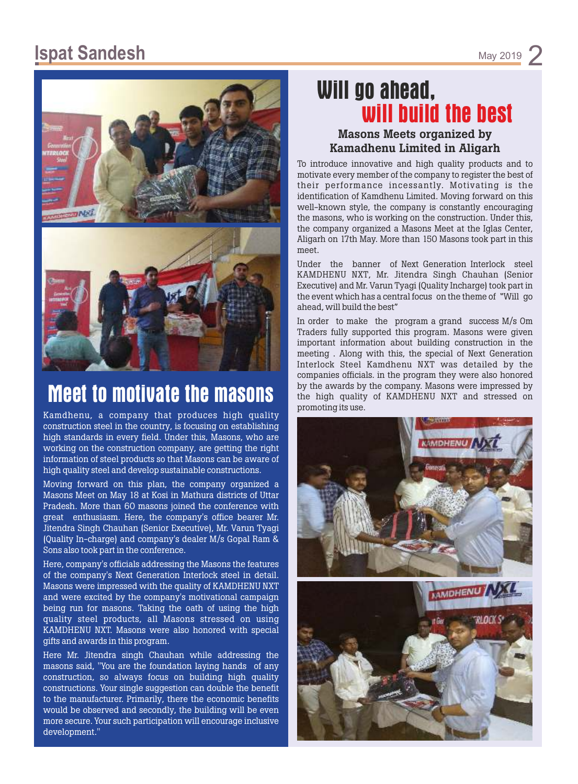### **Ispat Sandesh** May 2019



## **Meet to motivate the masons**

Kamdhenu, a company that produces high quality construction steel in the country, is focusing on establishing high standards in every field. Under this, Masons, who are working on the construction company, are getting the right information of steel products so that Masons can be aware of high quality steel and develop sustainable constructions.

Moving forward on this plan, the company organized a Masons Meet on May 18 at Kosi in Mathura districts of Uttar Pradesh. More than 60 masons joined the conference with great enthusiasm. Here, the company's office bearer Mr. Jitendra Singh Chauhan (Senior Executive), Mr. Varun Tyagi (Quality In-charge) and company's dealer M/s Gopal Ram & Sons also took part in the conference.

Here, company's officials addressing the Masons the features of the company's Next Generation Interlock steel in detail. Masons were impressed with the quality of KAMDHENU NXT and were excited by the company's motivational campaign being run for masons. Taking the oath of using the high quality steel products, all Masons stressed on using KAMDHENU NXT. Masons were also honored with special gifts and awards in this program.

Here Mr. Jitendra singh Chauhan while addressing the masons said, "You are the foundation laying hands of any construction, so always focus on building high quality constructions. Your single suggestion can double the benefit to the manufacturer. Primarily, there the economic benefits would be observed and secondly, the building will be even more secure. Your such participation will encourage inclusive development."

## **Will go ahead, will build the best**

#### Masons Meets organized by Kamadhenu Limited in Aligarh

To introduce innovative and high quality products and to motivate every member of the company to register the best of their performance incessantly. Motivating is the identification of Kamdhenu Limited. Moving forward on this well-known style, the company is constantly encouraging the masons, who is working on the construction. Under this, the company organized a Masons Meet at the Iglas Center, Aligarh on 17th May. More than 150 Masons took part in this meet.

Under the banner of Next Generation Interlock steel KAMDHENU NXT, Mr. Jitendra Singh Chauhan (Senior Executive) and Mr. Varun Tyagi (Quality Incharge) took part in the event which has a central focus on the theme of "Will go ahead, will build the best"

In order to make the program a grand success M/s Om Traders fully supported this program. Masons were given important information about building construction in the meeting . Along with this, the special of Next Generation Interlock Steel Kamdhenu NXT was detailed by the companies officials. in the program they were also honored by the awards by the company. Masons were impressed by the high quality of KAMDHENU NXT and stressed on promoting its use.

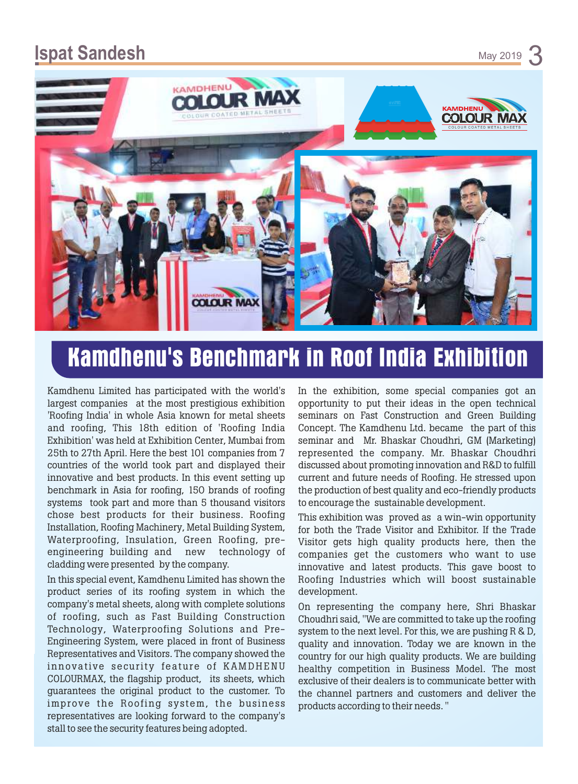### **Ispat Sandesh** May 2019



# **Kamdhenu's Benchmark in Roof India Exhibition**

Kamdhenu Limited has participated with the world's largest companies at the most prestigious exhibition 'Roofing India' in whole Asia known for metal sheets and roofing, This 18th edition of 'Roofing India Exhibition' was held at Exhibition Center, Mumbai from 25th to 27th April. Here the best 101 companies from 7 countries of the world took part and displayed their innovative and best products. In this event setting up benchmark in Asia for roofing, 150 brands of roofing systems took part and more than 5 thousand visitors chose best products for their business. Roofing Installation, Roofing Machinery, Metal Building System, Waterproofing, Insulation, Green Roofing, preengineering building and new technology of cladding were presented by the company.

In this special event, Kamdhenu Limited has shown the product series of its roofing system in which the company's metal sheets, along with complete solutions of roofing, such as Fast Building Construction Technology, Waterproofing Solutions and Pre-Engineering System, were placed in front of Business Representatives and Visitors. The company showed the innovative security feature of KAMDHENU COLOURMAX, the flagship product, its sheets, which guarantees the original product to the customer. To improve the Roofing system, the business representatives are looking forward to the company's stall to see the security features being adopted.

In the exhibition, some special companies got an opportunity to put their ideas in the open technical seminars on Fast Construction and Green Building Concept. The Kamdhenu Ltd. became the part of this seminar and Mr. Bhaskar Choudhri, GM (Marketing) represented the company. Mr. Bhaskar Choudhri discussed about promoting innovation and R&D to fulfill current and future needs of Roofing. He stressed upon the production of best quality and eco-friendly products to encourage the sustainable development.

This exhibition was proved as a win-win opportunity for both the Trade Visitor and Exhibitor. If the Trade Visitor gets high quality products here, then the companies get the customers who want to use innovative and latest products. This gave boost to Roofing Industries which will boost sustainable development.

On representing the company here, Shri Bhaskar Choudhri said, "We are committed to take up the roofing system to the next level. For this, we are pushing R & D, quality and innovation. Today we are known in the country for our high quality products. We are building healthy competition in Business Model. The most exclusive of their dealers is to communicate better with the channel partners and customers and deliver the products according to their needs. "